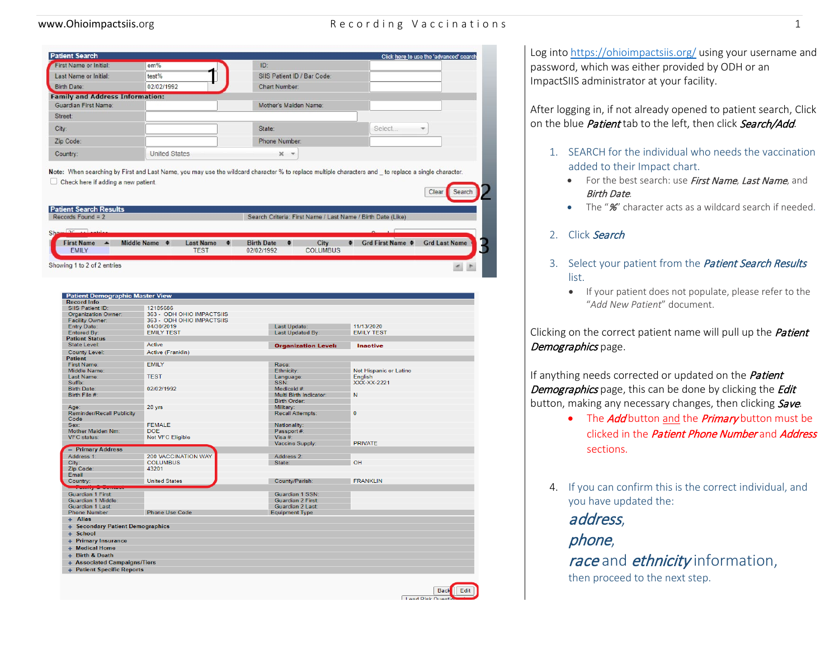### www.Ohioimpactsiis.org examples are recording Vaccinations of the cordinations of the cordinations of the cordinations of the cordinations of the cordinations of the cordinations of the cordinations of the cordinations of

| <b>Patient Search</b>                  |                      |                             |        | Click here to use the 'advanced' search |
|----------------------------------------|----------------------|-----------------------------|--------|-----------------------------------------|
| First Name or Initial:                 | em%                  | ID:                         |        |                                         |
| Last Name or Initial:                  | test%                | SIIS Patient ID / Bar Code: |        |                                         |
| <b>Birth Date:</b>                     | 02/02/1992           | <b>Chart Number:</b>        |        |                                         |
| <b>Family and Address Information:</b> |                      |                             |        |                                         |
| Guardian First Name:                   |                      | Mother's Maiden Name:       |        |                                         |
| Street:                                |                      |                             |        |                                         |
| City:                                  |                      | State:                      | Select | $\overline{\phantom{a}}$                |
| Zip Code:                              |                      | Phone Number:               |        |                                         |
| Country:                               | <b>United States</b> | $X - v$                     |        |                                         |

Note: When searching by First and Last Name, you may use the wildcard character % to replace multiple characters and \_ to replace a single character. Check here if adding a new patient. Clear Search

| Records Found = $2$ |  |                       |             |                   |            |      |                 | Search Criteria: First Name / Last Name / Birth Date (Like) |                      |
|---------------------|--|-----------------------|-------------|-------------------|------------|------|-----------------|-------------------------------------------------------------|----------------------|
| تمطيع والمتعاطف     |  |                       |             |                   |            |      |                 |                                                             |                      |
| ▴                   |  | <b>Last Name</b>      | ٠           | <b>Birth Date</b> | $\bullet$  | City | ٠               | Grd First Name $\triangleq$                                 | <b>Grd Last Name</b> |
|                     |  | Middle Name $\bullet$ | <b>TEST</b> |                   | 02/02/1992 |      | <b>COLUMBUS</b> |                                                             |                      |

| <b>Patient Demographic Master View</b>       |                            |                            |                        |
|----------------------------------------------|----------------------------|----------------------------|------------------------|
| <b>Record Info</b>                           |                            |                            |                        |
| SIIS Patient ID:                             | 12185686                   |                            |                        |
| <b>Organization Owner:</b>                   | 363 - ODH OHIO IMPACTSIIS  |                            |                        |
| <b>Facility Owner:</b>                       | 363 - ODH OHIO IMPACTSIIS  |                            |                        |
| <b>Entry Date:</b>                           | 04/30/2019                 | Last Update:               | 11/13/2020             |
| <b>Entered By:</b>                           | <b>EMILY TEST</b>          | Last Updated By:           | <b>EMILY TEST</b>      |
| <b>Patient Status</b>                        |                            |                            |                        |
| <b>State Level:</b>                          | Active                     | <b>Organization Level:</b> | <b>Inactive</b>        |
| <b>County Level:</b>                         | Active (Franklin)          |                            |                        |
| <b>Patient</b>                               |                            |                            |                        |
| First Name:                                  | <b>EMILY</b>               | Race:                      |                        |
| <b>Middle Name:</b>                          |                            | Ethnicity:                 | Not Hispanic or Latino |
| Last Name:                                   | <b>TEST</b>                | Language:                  | English                |
| Suffix:                                      |                            | SSN:                       | XXX-XX-2221            |
| <b>Birth Date:</b>                           | 02/02/1992                 | Medicaid #:                |                        |
| Birth File #:                                |                            | Multi Birth Indicator:     | N                      |
|                                              |                            | <b>Birth Order:</b>        |                        |
| Age:                                         | 28 yrs                     | Military:                  |                        |
| <b>Reminder/Recall Publicity</b><br>Code     |                            | Recall Attempts:           | $\mathbf{0}$           |
| Sex:                                         | <b>FEMALE</b>              | Nationality:               |                        |
| <b>Mother Maiden Nm:</b>                     | <b>DOF</b>                 | Passport #:                |                        |
| <b>VFC</b> status:                           | Not VFC Eligible           | Visa $#$                   |                        |
|                                              |                            | Vaccine Supply:            | <b>PRIVATE</b>         |
| - Primary Address                            |                            |                            |                        |
| Address 1:                                   | <b>200 VACCINATION WAY</b> | Address <sub>2</sub> :     |                        |
| City:                                        | <b>COLUMBUS</b>            | State:                     | OH                     |
| Zip Code:                                    | 43201                      |                            |                        |
| Email                                        |                            |                            |                        |
| Country:                                     | <b>United States</b>       | County/Parish:             | <b>FRANKLIN</b>        |
| <u>management</u><br>وسيحبب                  |                            |                            |                        |
| <b>Guardian 1 First:</b>                     |                            | Guardian 1 SSN:            |                        |
| Guardian 1 Middle:                           |                            | <b>Guardian 2 First:</b>   |                        |
| Guardian 1 Last:                             |                            | Guardian 2 Last:           |                        |
| <b>Phone Number</b>                          | <b>Phone Use Code</b>      | <b>Equipment Type</b>      |                        |
| + Alias                                      |                            |                            |                        |
| + Secondary Patient Demographics<br>+ School |                            |                            |                        |
|                                              |                            |                            |                        |
| + Primary Insurance                          |                            |                            |                        |
| <b>Medical Home</b><br>÷                     |                            |                            |                        |
| + Birth & Death                              |                            |                            |                        |
| + Associated Campaigns/Tiers                 |                            |                            |                        |
| + Patient Specific Reports                   |                            |                            |                        |



Log int[o https://ohioimpactsiis.org/](https://ohioimpactsiis.org/) using your username and password, which was either provided by ODH or an ImpactSIIS administrator at your facility.

After logging in, if not already opened to patient search, Click on the blue *Patient* tab to the left, then click *Search/Add*.

- 1. SEARCH for the individual who needs the vaccination added to their Impact chart.
	- For the best search: use First Name, Last Name, and Birth Date.
	- The "%" character acts as a wildcard search if needed.

### 2. Click Search

- 3. Select your patient from the *Patient Search Results* list.
	- If your patient does not populate, please refer to the "*Add New Patient*" document.

Clicking on the correct patient name will pull up the **Patient** Demographics page.

If anything needs corrected or updated on the *Patient* Demographics page, this can be done by clicking the Edit button, making any necessary changes, then clicking Save.

- The *Add* button and the *Primary* button must be clicked in the *Patient Phone Number* and *Address* sections.
- 4. If you can confirm this is the correct individual, and you have updated the:

address,

phone,

race and ethnicity information,

then proceed to the next step.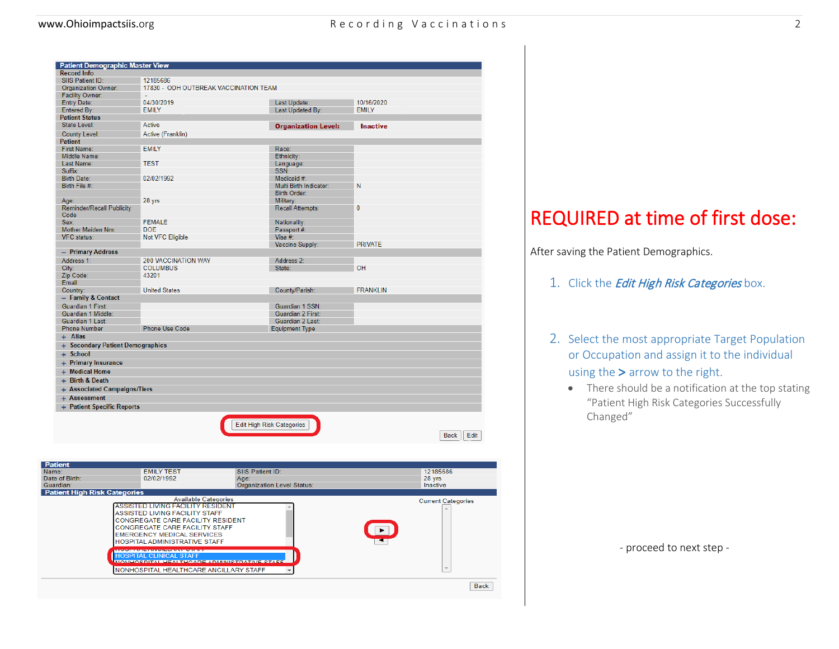| <b>Patient Demographic Master View</b>   |                                       |                                  |                 |                     |
|------------------------------------------|---------------------------------------|----------------------------------|-----------------|---------------------|
| <b>Record Info</b>                       |                                       |                                  |                 |                     |
| SIIS Patient ID:                         | 12185686                              |                                  |                 |                     |
| <b>Organization Owner:</b>               | 17830 - ODH OUTBREAK VACCINATION TEAM |                                  |                 |                     |
| <b>Facility Owner:</b>                   |                                       |                                  |                 |                     |
| <b>Entry Date:</b>                       | 04/30/2019                            | Last Update:                     | 10/16/2020      |                     |
| Entered By:                              | <b>EMILY</b>                          | Last Updated By:                 | <b>EMILY</b>    |                     |
| <b>Patient Status</b>                    |                                       |                                  |                 |                     |
| <b>State Level:</b>                      | Active                                | <b>Organization Level:</b>       | <b>Inactive</b> |                     |
| <b>County Level:</b>                     | Active (Franklin)                     |                                  |                 |                     |
| <b>Patient</b>                           |                                       |                                  |                 |                     |
| <b>First Name:</b>                       | <b>EMILY</b>                          | Race:                            |                 |                     |
| Middle Name:                             |                                       | Ethnicity:                       |                 |                     |
| Last Name:                               | <b>TEST</b>                           | Language:                        |                 |                     |
| Suffix:                                  |                                       | SSN:                             |                 |                     |
| <b>Birth Date:</b>                       | 02/02/1992                            | Medicaid #:                      |                 |                     |
| Birth File #:                            |                                       | Multi Birth Indicator:           | N               |                     |
|                                          |                                       | <b>Birth Order:</b>              |                 |                     |
| Age:                                     | 28 yrs                                | Military:                        |                 |                     |
| <b>Reminder/Recall Publicity</b><br>Code |                                       | Recall Attempts:                 | $\mathbf{0}$    |                     |
| Sex:                                     | <b>FEMALE</b>                         | Nationality:                     |                 |                     |
| Mother Maiden Nm:                        | <b>DOE</b>                            | Passport #:                      |                 |                     |
| <b>VFC</b> status:                       | Not VFC Eligible                      | Visa #:                          |                 |                     |
|                                          |                                       | Vaccine Supply:                  | <b>PRIVATE</b>  |                     |
| - Primary Address                        |                                       |                                  |                 |                     |
| Address 1:                               | <b>200 VACCINATION WAY</b>            | Address 2:                       |                 |                     |
| City:                                    | <b>COLUMBUS</b>                       | State:                           | OH              |                     |
| Zip Code:                                | 43201                                 |                                  |                 |                     |
| Email                                    |                                       |                                  |                 |                     |
| Country:                                 | <b>United States</b>                  | County/Parish:                   | <b>FRANKLIN</b> |                     |
| - Family & Contact                       |                                       |                                  |                 |                     |
| <b>Guardian 1 First:</b>                 |                                       | Guardian 1 SSN:                  |                 |                     |
| Guardian 1 Middle:                       |                                       | <b>Guardian 2 First:</b>         |                 |                     |
| Guardian 1 Last:                         |                                       | Guardian 2 Last:                 |                 |                     |
| <b>Phone Number</b>                      | Phone Use Code                        | <b>Equipment Type</b>            |                 |                     |
| + Alias                                  |                                       |                                  |                 |                     |
| + Secondary Patient Demographics         |                                       |                                  |                 |                     |
| + School                                 |                                       |                                  |                 |                     |
| + Primary Insurance                      |                                       |                                  |                 |                     |
|                                          |                                       |                                  |                 |                     |
| + Medical Home                           |                                       |                                  |                 |                     |
| + Birth & Death                          |                                       |                                  |                 |                     |
| + Associated Campaigns/Tiers             |                                       |                                  |                 |                     |
| + Assessment                             |                                       |                                  |                 |                     |
| + Patient Specific Reports               |                                       |                                  |                 |                     |
|                                          |                                       | <b>Edit High Risk Categories</b> |                 |                     |
|                                          |                                       |                                  |                 | Edit<br><b>Back</b> |

| Name:<br>Date of Birth:             | <b>FMILY TEST</b><br>02/02/1992                                                                                                                                                                                                                                        | SIIS Patient ID:<br>Age:                    | 12185686<br>28 yrs   |
|-------------------------------------|------------------------------------------------------------------------------------------------------------------------------------------------------------------------------------------------------------------------------------------------------------------------|---------------------------------------------|----------------------|
| Guardian:                           |                                                                                                                                                                                                                                                                        | <b>Organization Level Status:</b>           | Inactive             |
| <b>Patient High Risk Categories</b> |                                                                                                                                                                                                                                                                        | <b>Available Categories</b>                 |                      |
|                                     | <b>ASSISTED LIVING FACILITY RESIDENT</b><br>ASSISTED LIVING FACILITY STAFF<br>CONGREGATE CARE FACILITY RESIDENT<br><b>CONGREGATE CARE FACILITY STAFF</b><br><b>EMERGENCY MEDICAL SERVICES</b><br>HOSPITAL ADMINISTRATIVE STAFF                                         |                                             | $\ddot{\phantom{1}}$ |
|                                     | <b>BACK OF BEING CONTINUES OF A STATE OF A STATE OF A STATE OF A STATE OF A STATE OF A STATE OF A STATE OF A STATE OF A STATE OF A STATE OF A STATE OF A STATE OF A STATE OF A STATE OF A STATE OF A STATE OF A STATE OF A STATE</b><br><b>HOSPITAL CLINICAL STAFF</b> | MONUOCDITAL UEALTUCADE ADMINICTDATIVE CTAEE |                      |
|                                     | NONHOSPITAL HEALTHCARE ANCILLARY STAFF                                                                                                                                                                                                                                 |                                             | $\sim$               |

# REQUIRED at time of first dose:

After saving the Patient Demographics.

- 1. Click the *Edit High Risk Categories* box.
- 2. Select the most appropriate Target Population or Occupation and assign it to the individual using the > arrow to the right.
	- There should be a notification at the top stating "Patient High Risk Categories Successfully Changed"

- proceed to next step -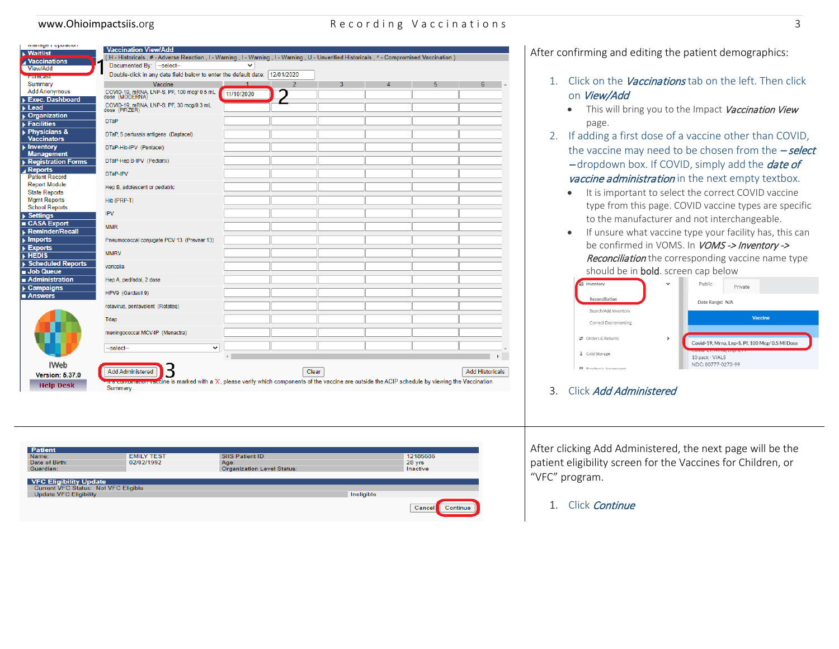### www.Ohioimpactsiis.org and a seconding Vaccinations 3

| <b>Maitlist</b><br><b>Vaccinations</b><br>View/Add<br>FUICIGEST<br>Summary<br><b>Add Anonymous</b><br><b>Exec. Dashboard</b><br>Lead<br><b>Organization</b><br><b>Facilities</b><br><b>Physicians &amp;</b><br><b>Vaccinators</b> | (H - Historicals, # - Adverse Reaction, I - Warning, I - Warning, I - Warning, U - Unverified Historicals, ^ - Compromised Vaccination)<br>Documented By:  --select--<br>Double-click in any date field below to enter the default date: 12/01/2020<br>Vaccine<br>COVID-19, mRNA, LNP-S, PF, 100 mcg/ 0.5 mL<br>dose (MODERNA)<br>COVID-19, mRNA, LNP-S, PF, 30 mcg/0.3 mL<br>dose (PFIZER)<br><b>DTaP</b> | v<br>11/10/2020 | $\overline{2}$ | 3     | Δ | 5 | 6                      |
|-----------------------------------------------------------------------------------------------------------------------------------------------------------------------------------------------------------------------------------|------------------------------------------------------------------------------------------------------------------------------------------------------------------------------------------------------------------------------------------------------------------------------------------------------------------------------------------------------------------------------------------------------------|-----------------|----------------|-------|---|---|------------------------|
|                                                                                                                                                                                                                                   |                                                                                                                                                                                                                                                                                                                                                                                                            |                 |                |       |   |   |                        |
|                                                                                                                                                                                                                                   |                                                                                                                                                                                                                                                                                                                                                                                                            |                 |                |       |   |   |                        |
|                                                                                                                                                                                                                                   |                                                                                                                                                                                                                                                                                                                                                                                                            |                 |                |       |   |   |                        |
|                                                                                                                                                                                                                                   |                                                                                                                                                                                                                                                                                                                                                                                                            |                 |                |       |   |   |                        |
|                                                                                                                                                                                                                                   |                                                                                                                                                                                                                                                                                                                                                                                                            |                 |                |       |   |   |                        |
|                                                                                                                                                                                                                                   |                                                                                                                                                                                                                                                                                                                                                                                                            |                 |                |       |   |   |                        |
|                                                                                                                                                                                                                                   |                                                                                                                                                                                                                                                                                                                                                                                                            |                 |                |       |   |   |                        |
|                                                                                                                                                                                                                                   |                                                                                                                                                                                                                                                                                                                                                                                                            |                 |                |       |   |   |                        |
|                                                                                                                                                                                                                                   |                                                                                                                                                                                                                                                                                                                                                                                                            |                 |                |       |   |   |                        |
|                                                                                                                                                                                                                                   | DTaP, 5 pertussis antigens (Daptacel)                                                                                                                                                                                                                                                                                                                                                                      |                 |                |       |   |   |                        |
| <b>Inventory</b><br><b>Management</b>                                                                                                                                                                                             | DTaP-Hib-IPV (Pentacel)                                                                                                                                                                                                                                                                                                                                                                                    |                 |                |       |   |   |                        |
| <b>Registration Forms</b><br><b>Reports</b>                                                                                                                                                                                       | DTaP-Hep B-IPV (Pediarix)                                                                                                                                                                                                                                                                                                                                                                                  |                 |                |       |   |   |                        |
| <b>Patient Record</b>                                                                                                                                                                                                             | DTaP-IPV                                                                                                                                                                                                                                                                                                                                                                                                   |                 |                |       |   |   |                        |
| <b>Report Module</b><br><b>State Reports</b>                                                                                                                                                                                      | Hep B, adolescent or pediatric                                                                                                                                                                                                                                                                                                                                                                             |                 |                |       |   |   |                        |
| <b>Mgmt Reports</b><br><b>School Reports</b>                                                                                                                                                                                      | Hib (PRP-T)                                                                                                                                                                                                                                                                                                                                                                                                |                 |                |       |   |   |                        |
| <b>IPV</b><br><b>Settings</b>                                                                                                                                                                                                     |                                                                                                                                                                                                                                                                                                                                                                                                            |                 |                |       |   |   |                        |
| <b>CASA Export</b><br><b>Reminder/Recall</b>                                                                                                                                                                                      | <b>MMR</b>                                                                                                                                                                                                                                                                                                                                                                                                 |                 |                |       |   |   |                        |
| <b>Imports</b><br><b>Exports</b>                                                                                                                                                                                                  | Pneumococcal conjugate PCV 13 (Prevnar 13)                                                                                                                                                                                                                                                                                                                                                                 |                 |                |       |   |   |                        |
| $\triangleright$ HEDIS                                                                                                                                                                                                            | <b>MMRV</b>                                                                                                                                                                                                                                                                                                                                                                                                |                 |                |       |   |   |                        |
| <b>Scheduled Reports</b><br>Job Queue                                                                                                                                                                                             | varicella                                                                                                                                                                                                                                                                                                                                                                                                  |                 |                |       |   |   |                        |
| Administration<br><b>Campaigns</b>                                                                                                                                                                                                | Hep A, ped/adol, 2 dose                                                                                                                                                                                                                                                                                                                                                                                    |                 |                |       |   |   |                        |
| <b>Answers</b>                                                                                                                                                                                                                    | HPV9 (Gardasil 9)                                                                                                                                                                                                                                                                                                                                                                                          |                 |                |       |   |   |                        |
|                                                                                                                                                                                                                                   | rotavirus, pentavalent (Rotateg)                                                                                                                                                                                                                                                                                                                                                                           |                 |                |       |   |   |                        |
|                                                                                                                                                                                                                                   | Tdap                                                                                                                                                                                                                                                                                                                                                                                                       |                 |                |       |   |   |                        |
|                                                                                                                                                                                                                                   | meningococcal MCV4P (Menactra)                                                                                                                                                                                                                                                                                                                                                                             |                 |                |       |   |   |                        |
|                                                                                                                                                                                                                                   | $\checkmark$<br>--select--                                                                                                                                                                                                                                                                                                                                                                                 |                 |                |       |   |   |                        |
| IWeb                                                                                                                                                                                                                              |                                                                                                                                                                                                                                                                                                                                                                                                            |                 |                |       |   |   |                        |
| <b>Version: 5.37.0</b>                                                                                                                                                                                                            | Add Administered                                                                                                                                                                                                                                                                                                                                                                                           |                 |                | Clear |   |   | <b>Add Historicals</b> |
| <b>Help Desk</b>                                                                                                                                                                                                                  | vaccine is marked with a 'X', please verify which components of the vaccine are outside the ACIP schedule by viewing the Vaccination                                                                                                                                                                                                                                                                       |                 |                |       |   |   |                        |
|                                                                                                                                                                                                                                   | Summary                                                                                                                                                                                                                                                                                                                                                                                                    |                 |                |       |   |   |                        |

After confirming and editing the patient demographics:

- 1. Click on the Vaccinations tab on the left. Then click on View/Add
	- This will bring you to the Impact Vaccination View page.
- 2. If adding a first dose of a vaccine other than COVID, the vaccine may need to be chosen from the  $-$  select -dropdown box. If COVID, simply add the **date of** vaccine administration in the next empty textbox.
	- It is important to select the correct COVID vaccine type from this page. COVID vaccine types are specific to the manufacturer and not interchangeable.
	- If unsure what vaccine type your facility has, this can be confirmed in VOMS. In *VOMS -> Inventory ->* Reconciliation the corresponding vaccine name type should be in **bold**. screen cap below

|   | Inventory            | $\checkmark$ | Public                                         | Private                                         |  |
|---|----------------------|--------------|------------------------------------------------|-------------------------------------------------|--|
|   | Reconciliation       |              | Date Range: N/A                                |                                                 |  |
|   | Search/Add Inventory |              |                                                |                                                 |  |
|   | Correct Decrementing |              |                                                | <b>Vaccine</b>                                  |  |
|   | Orders & Returns     | ⋟            |                                                | Covid-19, Mrna, Lnp-S, Pf, 100 Mcg/ 0.5 MI Dose |  |
| а | Cold Storage         |              | <b>COVID-PARTICIPED COM</b><br>10 pack - VIALS |                                                 |  |
| ⊟ | Dandomic Agroomont   |              | NDC: 80777-0273-99                             |                                                 |  |

3. Click Add Administered

After clicking Add Administered, the next page will be the patient eligibility screen for the Vaccines for Children, or "VFC" program.

1. Click Continue